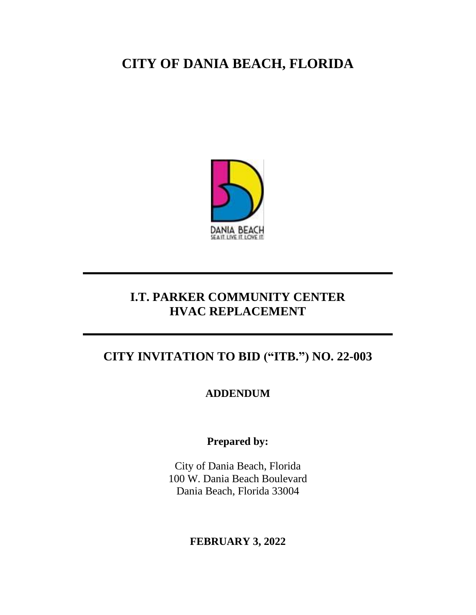# **CITY OF DANIA BEACH, FLORIDA**



## **I.T. PARKER COMMUNITY CENTER HVAC REPLACEMENT**

## **CITY INVITATION TO BID ("ITB.") NO. 22-003**

**ADDENDUM** 

**Prepared by:**

City of Dania Beach, Florida 100 W. Dania Beach Boulevard Dania Beach, Florida 33004

### **FEBRUARY 3, 2022**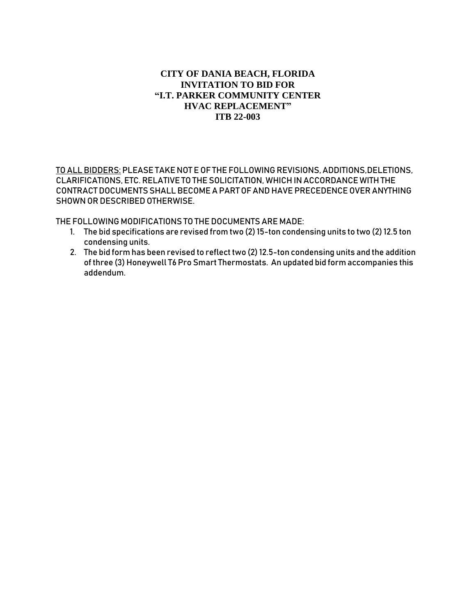#### **CITY OF DANIA BEACH, FLORIDA INVITATION TO BID FOR "I.T. PARKER COMMUNITY CENTER HVAC REPLACEMENT" ITB 22-003**

TO ALL BIDDERS: PLEASE TAKE NOT E OF THE FOLLOWING REVISIONS, ADDITIONS, DELETIONS, CLARIFICATIONS, ETC. RELATIVE TO THE SOLICITATION, WHICH IN ACCORDANCE WITH THE CONTRACT DOCUMENTS SHALL BECOME A PART OF AND HAVE PRECEDENCE OVER ANYTHING SHOWN OR DESCRIBED OTHERWISE.

THE FOLLOWING MODIFICATIONS TO THE DOCUMENTS ARE MADE:

- 1. The bid specifications are revised from two (2) 15-ton condensing units to two (2) 12.5 ton condensing units.
- 2. The bid form has been revised to reflect two (2) 12.5-ton condensing units and the addition of three (3) Honeywell T6 Pro Smart Thermostats. An updated bid form accompanies this addendum.